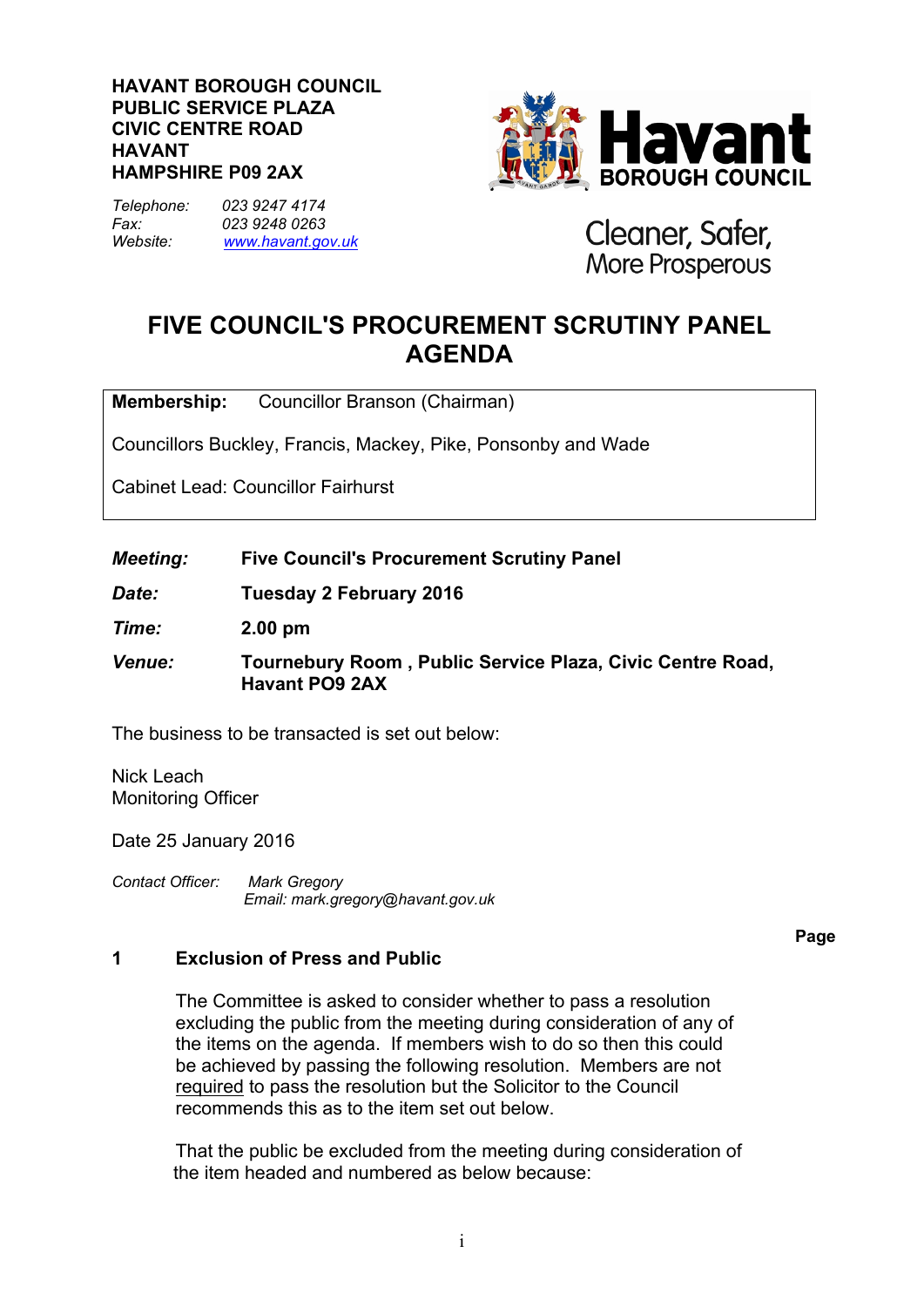### **HAVANT BOROUGH COUNCIL PUBLIC SERVICE PLAZA CIVIC CENTRE ROAD HAVANT HAMPSHIRE P09 2AX**

*Telephone: 023 9247 4174 Fax: 023 9248 0263 Website: [www.havant.gov.uk](http://www.easthants.gov.uk/)*



Cleaner, Safer, More Prosperous

# **FIVE COUNCIL'S PROCUREMENT SCRUTINY PANEL AGENDA**

**Membership:** Councillor Branson (Chairman)

Councillors Buckley, Francis, Mackey, Pike, Ponsonby and Wade

Cabinet Lead: Councillor Fairhurst

*Meeting:* **Five Council's Procurement Scrutiny Panel**

*Date:* **Tuesday 2 February 2016**

*Time:* **2.00 pm**

*Venue:* **Tournebury Room , Public Service Plaza, Civic Centre Road, Havant PO9 2AX**

The business to be transacted is set out below:

Nick Leach Monitoring Officer

Date 25 January 2016

*Contact Officer: Mark Gregory Email: mark.gregory@havant.gov.uk*

### **Page**

# **1 Exclusion of Press and Public**

The Committee is asked to consider whether to pass a resolution excluding the public from the meeting during consideration of any of the items on the agenda. If members wish to do so then this could be achieved by passing the following resolution. Members are not required to pass the resolution but the Solicitor to the Council recommends this as to the item set out below.

That the public be excluded from the meeting during consideration of the item headed and numbered as below because: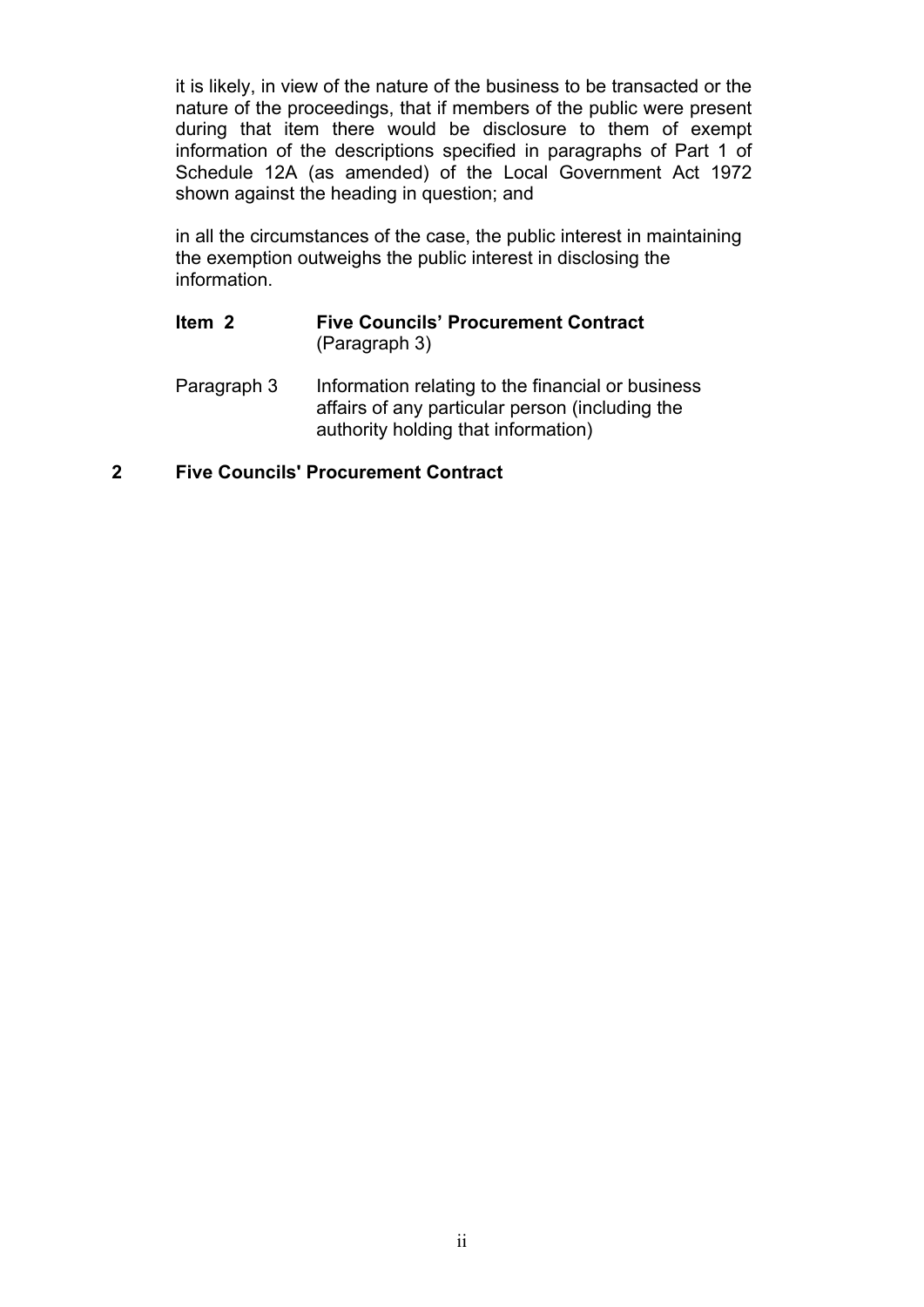it is likely, in view of the nature of the business to be transacted or the nature of the proceedings, that if members of the public were present during that item there would be disclosure to them of exempt information of the descriptions specified in paragraphs of Part 1 of Schedule 12A (as amended) of the Local Government Act 1972 shown against the heading in question; and

in all the circumstances of the case, the public interest in maintaining the exemption outweighs the public interest in disclosing the information.

# **Item 2 Five Councils' Procurement Contract** (Paragraph 3)

Paragraph 3 Information relating to the financial or business affairs of any particular person (including the authority holding that information)

# **2 Five Councils' Procurement Contract**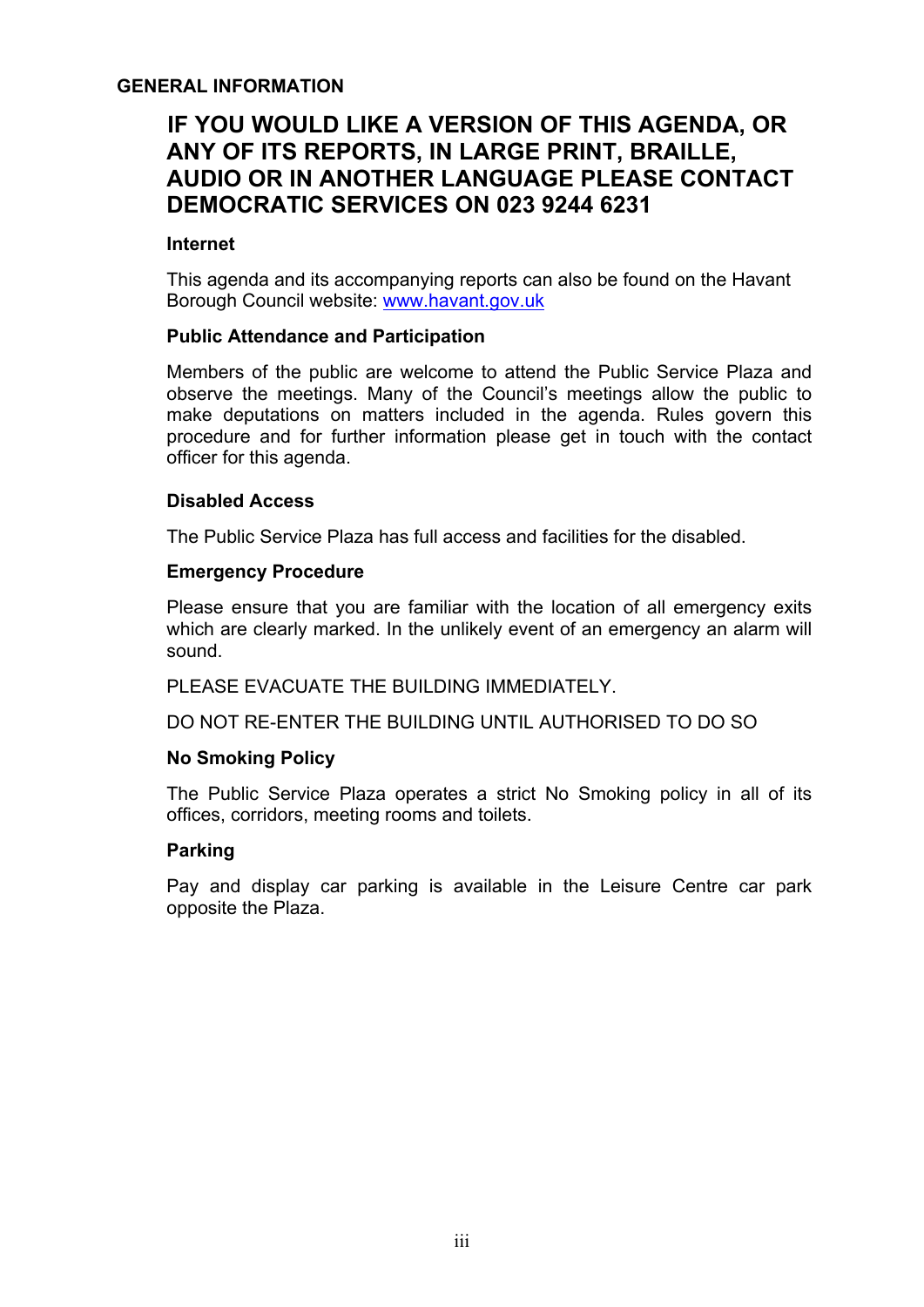## **GENERAL INFORMATION**

# **IF YOU WOULD LIKE A VERSION OF THIS AGENDA, OR ANY OF ITS REPORTS, IN LARGE PRINT, BRAILLE, AUDIO OR IN ANOTHER LANGUAGE PLEASE CONTACT DEMOCRATIC SERVICES ON 023 9244 6231**

### **Internet**

This agenda and its accompanying reports can also be found on the Havant Borough Council website: [www.havant.gov.uk](http://www.havant.gov.uk/)

### **Public Attendance and Participation**

Members of the public are welcome to attend the Public Service Plaza and observe the meetings. Many of the Council's meetings allow the public to make deputations on matters included in the agenda. Rules govern this procedure and for further information please get in touch with the contact officer for this agenda.

### **Disabled Access**

The Public Service Plaza has full access and facilities for the disabled.

### **Emergency Procedure**

Please ensure that you are familiar with the location of all emergency exits which are clearly marked. In the unlikely event of an emergency an alarm will sound.

PLEASE EVACUATE THE BUILDING IMMEDIATELY.

DO NOT RE-ENTER THE BUILDING UNTIL AUTHORISED TO DO SO

### **No Smoking Policy**

The Public Service Plaza operates a strict No Smoking policy in all of its offices, corridors, meeting rooms and toilets.

# **Parking**

Pay and display car parking is available in the Leisure Centre car park opposite the Plaza.